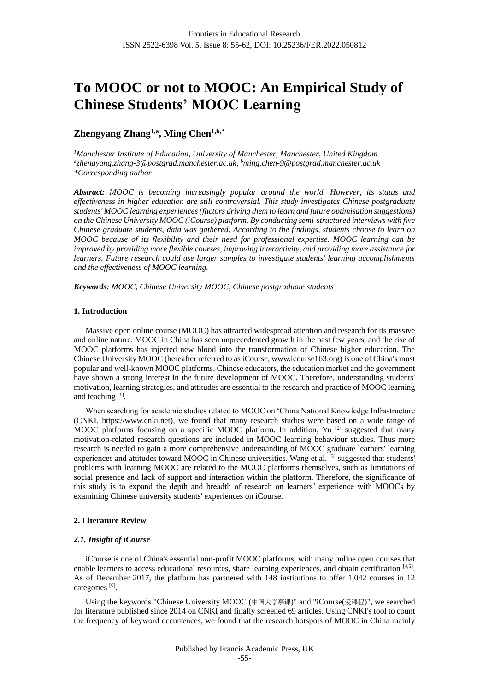# **To MOOC or not to MOOC: An Empirical Study of Chinese Students' MOOC Learning**

# **Zhengyang Zhang1,a , Ming Chen1,b,\***

*<sup>1</sup>Manchester Institute of Education, University of Manchester, Manchester, United Kingdom a zhengyang.zhang-3@postgrad.manchester.ac.uk, <sup>b</sup>ming.chen-9@postgrad.manchester.ac.uk \*Corresponding author*

*Abstract: MOOC is becoming increasingly popular around the world. However, its status and effectiveness in higher education are still controversial. This study investigates Chinese postgraduate students' MOOC learning experiences (factors driving them to learn and future optimisation suggestions) on the Chinese University MOOC (iCourse) platform. By conducting semi-structured interviews with five Chinese graduate students, data was gathered. According to the findings, students choose to learn on MOOC because of its flexibility and their need for professional expertise. MOOC learning can be improved by providing more flexible courses, improving interactivity, and providing more assistance for learners. Future research could use larger samples to investigate students' learning accomplishments and the effectiveness of MOOC learning.*

*Keywords: MOOC, Chinese University MOOC, Chinese postgraduate students*

# **1. Introduction**

Massive open online course (MOOC) has attracted widespread attention and research for its massive and online nature. MOOC in China has seen unprecedented growth in the past few years, and the rise of MOOC platforms has injected new blood into the transformation of Chinese higher education. The Chinese University MOOC (hereafter referred to as iCourse, www.icourse163.org) is one of China's most popular and well-known MOOC platforms. Chinese educators, the education market and the government have shown a strong interest in the future development of MOOC. Therefore, understanding students' motivation, learning strategies, and attitudes are essential to the research and practice of MOOC learning and teaching [1].

When searching for academic studies related to MOOC on 'China National Knowledge Infrastructure (CNKI, https://www.cnki.net), we found that many research studies were based on a wide range of MOOC platforms focusing on a specific MOOC platform. In addition, Yu<sup>[2]</sup> suggested that many motivation-related research questions are included in MOOC learning behaviour studies. Thus more research is needed to gain a more comprehensive understanding of MOOC graduate learners' learning experiences and attitudes toward MOOC in Chinese universities. Wang et al. [3] suggested that students' problems with learning MOOC are related to the MOOC platforms themselves, such as limitations of social presence and lack of support and interaction within the platform. Therefore, the significance of this study is to expand the depth and breadth of research on learners' experience with MOOCs by examining Chinese university students' experiences on iCourse.

# **2. Literature Review**

### *2.1. Insight of iCourse*

iCourse is one of China's essential non-profit MOOC platforms, with many online open courses that enable learners to access educational resources, share learning experiences, and obtain certification [4,5]. As of December 2017, the platform has partnered with 148 institutions to offer 1,042 courses in 12 categories<sup>[6]</sup>.

Using the keywords "Chinese University MOOC (中国大学慕课)" and "iCourse(爱课程)", we searched for literature published since 2014 on CNKI and finally screened 69 articles. Using CNKI's tool to count the frequency of keyword occurrences, we found that the research hotspots of MOOC in China mainly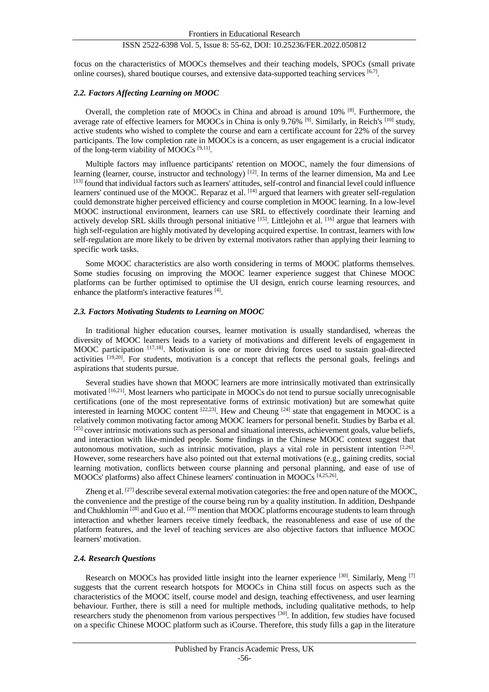focus on the characteristics of MOOCs themselves and their teaching models, SPOCs (small private online courses), shared boutique courses, and extensive data-supported teaching services [6,7].

#### *2.2. Factors Affecting Learning on MOOC*

Overall, the completion rate of MOOCs in China and abroad is around 10% [8]. Furthermore, the average rate of effective learners for MOOCs in China is only 9.76% <sup>[9]</sup>. Similarly, in Reich's <sup>[10]</sup> study, active students who wished to complete the course and earn a certificate account for 22% of the survey participants. The low completion rate in MOOCs is a concern, as user engagement is a crucial indicator of the long-term viability of MOOCs<sup>[9,11]</sup>.

Multiple factors may influence participants' retention on MOOC, namely the four dimensions of learning (learner, course, instructor and technology) <sup>[12]</sup>. In terms of the learner dimension, Ma and Lee [13] found that individual factors such as learners' attitudes, self-control and financial level could influence learners' continued use of the MOOC. Reparaz et al. <sup>[14]</sup> argued that learners with greater self-regulation could demonstrate higher perceived efficiency and course completion in MOOC learning. In a low-level MOOC instructional environment, learners can use SRL to effectively coordinate their learning and actively develop SRL skills through personal initiative [15]. Littlejohn et al. [16] argue that learners with high self-regulation are highly motivated by developing acquired expertise. In contrast, learners with low self-regulation are more likely to be driven by external motivators rather than applying their learning to specific work tasks.

Some MOOC characteristics are also worth considering in terms of MOOC platforms themselves. Some studies focusing on improving the MOOC learner experience suggest that Chinese MOOC platforms can be further optimised to optimise the UI design, enrich course learning resources, and enhance the platform's interactive features [4].

#### *2.3. Factors Motivating Students to Learning on MOOC*

In traditional higher education courses, learner motivation is usually standardised, whereas the diversity of MOOC learners leads to a variety of motivations and different levels of engagement in MOOC participation  $[17,18]$ . Motivation is one or more driving forces used to sustain goal-directed activities [19,20]. For students, motivation is a concept that reflects the personal goals, feelings and aspirations that students pursue.

Several studies have shown that MOOC learners are more intrinsically motivated than extrinsically motivated [16,21]. Most learners who participate in MOOCs do not tend to pursue socially unrecognisable certifications (one of the most representative forms of extrinsic motivation) but are somewhat quite interested in learning MOOC content  $^{[22,23]}$ . Hew and Cheung  $^{[24]}$  state that engagement in MOOC is a relatively common motivating factor among MOOC learners for personal benefit. Studies by Barba et al.  $[25]$  cover intrinsic motivations such as personal and situational interests, achievement goals, value beliefs, and interaction with like-minded people. Some findings in the Chinese MOOC context suggest that autonomous motivation, such as intrinsic motivation, plays a vital role in persistent intention  $[2,26]$ . However, some researchers have also pointed out that external motivations (e.g., gaining credits, social learning motivation, conflicts between course planning and personal planning, and ease of use of MOOCs' platforms) also affect Chinese learners' continuation in MOOCs [4,25,26] .

Zheng et al. <sup>[27]</sup> describe several external motivation categories: the free and open nature of the MOOC, the convenience and the prestige of the course being run by a quality institution. In addition, Deshpande and Chukhlomin<sup>[28]</sup> and Guo et al. <sup>[29]</sup> mention that MOOC platforms encourage students to learn through interaction and whether learners receive timely feedback, the reasonableness and ease of use of the platform features, and the level of teaching services are also objective factors that influence MOOC learners' motivation.

#### *2.4. Research Questions*

Research on MOOCs has provided little insight into the learner experience [30]. Similarly, Meng [7] suggests that the current research hotspots for MOOCs in China still focus on aspects such as the characteristics of the MOOC itself, course model and design, teaching effectiveness, and user learning behaviour. Further, there is still a need for multiple methods, including qualitative methods, to help researchers study the phenomenon from various perspectives [30]. In addition, few studies have focused on a specific Chinese MOOC platform such as iCourse. Therefore, this study fills a gap in the literature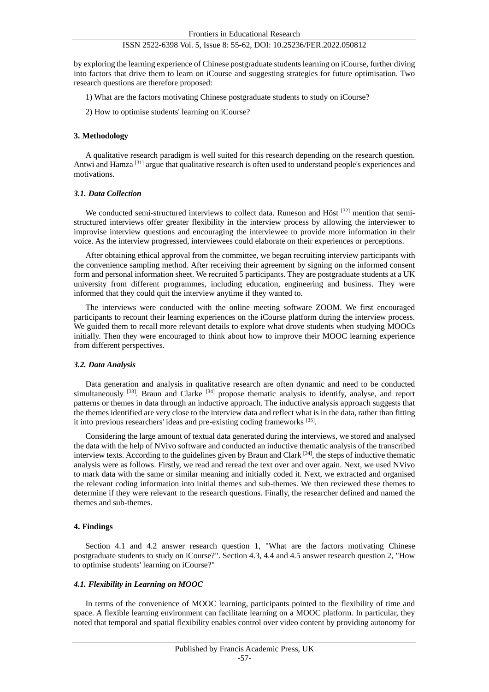by exploring the learning experience of Chinese postgraduate students learning on iCourse, further diving into factors that drive them to learn on iCourse and suggesting strategies for future optimisation. Two research questions are therefore proposed:

- 1) What are the factors motivating Chinese postgraduate students to study on iCourse?
- 2) How to optimise students' learning on iCourse?

#### **3. Methodology**

A qualitative research paradigm is well suited for this research depending on the research question. Antwi and Hamza [31] argue that qualitative research is often used to understand people's experiences and motivations.

#### *3.1. Data Collection*

We conducted semi-structured interviews to collect data. Runeson and Höst <sup>[32]</sup> mention that semistructured interviews offer greater flexibility in the interview process by allowing the interviewer to improvise interview questions and encouraging the interviewee to provide more information in their voice. As the interview progressed, interviewees could elaborate on their experiences or perceptions.

After obtaining ethical approval from the committee, we began recruiting interview participants with the convenience sampling method. After receiving their agreement by signing on the informed consent form and personal information sheet. We recruited 5 participants. They are postgraduate students at a UK university from different programmes, including education, engineering and business. They were informed that they could quit the interview anytime if they wanted to.

The interviews were conducted with the online meeting software ZOOM. We first encouraged participants to recount their learning experiences on the iCourse platform during the interview process. We guided them to recall more relevant details to explore what drove students when studying MOOCs initially. Then they were encouraged to think about how to improve their MOOC learning experience from different perspectives.

#### *3.2. Data Analysis*

Data generation and analysis in qualitative research are often dynamic and need to be conducted simultaneously <sup>[33]</sup>. Braun and Clarke <sup>[34]</sup> propose thematic analysis to identify, analyse, and report patterns or themes in data through an inductive approach. The inductive analysis approach suggests that the themes identified are very close to the interview data and reflect what is in the data, rather than fitting it into previous researchers' ideas and pre-existing coding frameworks [35].

Considering the large amount of textual data generated during the interviews, we stored and analysed the data with the help of NVivo software and conducted an inductive thematic analysis of the transcribed interview texts. According to the guidelines given by Braun and Clark [34], the steps of inductive thematic analysis were as follows. Firstly, we read and reread the text over and over again. Next, we used NVivo to mark data with the same or similar meaning and initially coded it. Next, we extracted and organised the relevant coding information into initial themes and sub-themes. We then reviewed these themes to determine if they were relevant to the research questions. Finally, the researcher defined and named the themes and sub-themes.

### **4. Findings**

Section 4.1 and 4.2 answer research question 1, "What are the factors motivating Chinese postgraduate students to study on iCourse?". Section 4.3, 4.4 and 4.5 answer research question 2, "How to optimise students' learning on iCourse?"

### *4.1. Flexibility in Learning on MOOC*

In terms of the convenience of MOOC learning, participants pointed to the flexibility of time and space. A flexible learning environment can facilitate learning on a MOOC platform. In particular, they noted that temporal and spatial flexibility enables control over video content by providing autonomy for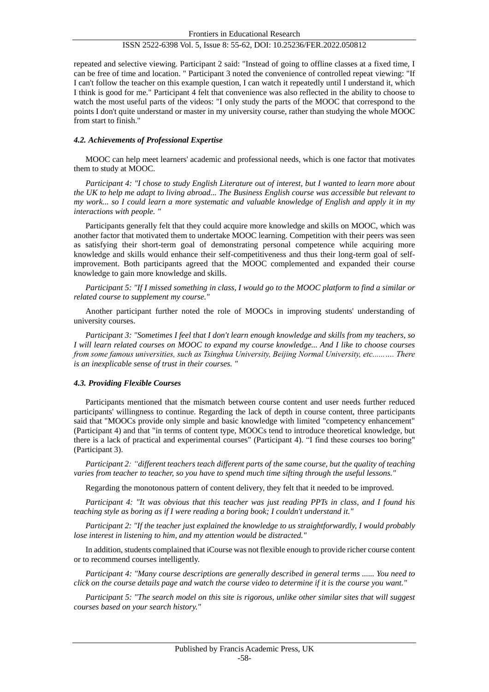repeated and selective viewing. Participant 2 said: "Instead of going to offline classes at a fixed time, I can be free of time and location. " Participant 3 noted the convenience of controlled repeat viewing: "If I can't follow the teacher on this example question, I can watch it repeatedly until I understand it, which I think is good for me." Participant 4 felt that convenience was also reflected in the ability to choose to watch the most useful parts of the videos: "I only study the parts of the MOOC that correspond to the points I don't quite understand or master in my university course, rather than studying the whole MOOC from start to finish."

#### *4.2. Achievements of Professional Expertise*

MOOC can help meet learners' academic and professional needs, which is one factor that motivates them to study at MOOC.

*Participant 4: "I chose to study English Literature out of interest, but I wanted to learn more about the UK to help me adapt to living abroad... The Business English course was accessible but relevant to my work... so I could learn a more systematic and valuable knowledge of English and apply it in my interactions with people. "*

Participants generally felt that they could acquire more knowledge and skills on MOOC, which was another factor that motivated them to undertake MOOC learning. Competition with their peers was seen as satisfying their short-term goal of demonstrating personal competence while acquiring more knowledge and skills would enhance their self-competitiveness and thus their long-term goal of selfimprovement. Both participants agreed that the MOOC complemented and expanded their course knowledge to gain more knowledge and skills.

*Participant 5: "If I missed something in class, I would go to the MOOC platform to find a similar or related course to supplement my course."* 

Another participant further noted the role of MOOCs in improving students' understanding of university courses.

*Participant 3: "Sometimes I feel that I don't learn enough knowledge and skills from my teachers, so I will learn related courses on MOOC to expand my course knowledge... And I like to choose courses from some famous universities, such as Tsinghua University, Beijing Normal University, etc......…. There is an inexplicable sense of trust in their courses. "*

## *4.3. Providing Flexible Courses*

Participants mentioned that the mismatch between course content and user needs further reduced participants' willingness to continue. Regarding the lack of depth in course content, three participants said that "MOOCs provide only simple and basic knowledge with limited "competency enhancement" (Participant 4) and that "in terms of content type, MOOCs tend to introduce theoretical knowledge, but there is a lack of practical and experimental courses" (Participant 4). "I find these courses too boring" (Participant 3).

*Participant 2: "different teachers teach different parts of the same course, but the quality of teaching varies from teacher to teacher, so you have to spend much time sifting through the useful lessons."*

Regarding the monotonous pattern of content delivery, they felt that it needed to be improved.

*Participant 4: "It was obvious that this teacher was just reading PPTs in class, and I found his teaching style as boring as if I were reading a boring book; I couldn't understand it."*

*Participant 2: "If the teacher just explained the knowledge to us straightforwardly, I would probably lose interest in listening to him, and my attention would be distracted."*

In addition, students complained that iCourse was not flexible enough to provide richer course content or to recommend courses intelligently.

*Participant 4: "Many course descriptions are generally described in general terms ...... You need to click on the course details page and watch the course video to determine if it is the course you want."*

*Participant 5: "The search model on this site is rigorous, unlike other similar sites that will suggest courses based on your search history."*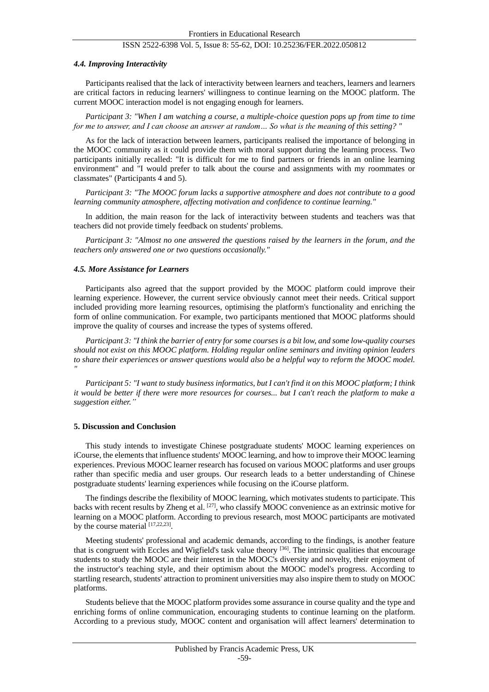#### *4.4. Improving Interactivity*

Participants realised that the lack of interactivity between learners and teachers, learners and learners are critical factors in reducing learners' willingness to continue learning on the MOOC platform. The current MOOC interaction model is not engaging enough for learners.

*Participant 3: "When I am watching a course, a multiple-choice question pops up from time to time for me to answer, and I can choose an answer at random… So what is the meaning of this setting? "*

As for the lack of interaction between learners, participants realised the importance of belonging in the MOOC community as it could provide them with moral support during the learning process. Two participants initially recalled: "It is difficult for me to find partners or friends in an online learning environment" and "I would prefer to talk about the course and assignments with my roommates or classmates" (Participants 4 and 5).

*Participant 3: "The MOOC forum lacks a supportive atmosphere and does not contribute to a good learning community atmosphere, affecting motivation and confidence to continue learning."*

In addition, the main reason for the lack of interactivity between students and teachers was that teachers did not provide timely feedback on students' problems.

*Participant 3: "Almost no one answered the questions raised by the learners in the forum, and the teachers only answered one or two questions occasionally."*

#### *4.5. More Assistance for Learners*

Participants also agreed that the support provided by the MOOC platform could improve their learning experience. However, the current service obviously cannot meet their needs. Critical support included providing more learning resources, optimising the platform's functionality and enriching the form of online communication. For example, two participants mentioned that MOOC platforms should improve the quality of courses and increase the types of systems offered.

*Participant 3: "I think the barrier of entry for some courses is a bit low, and some low-quality courses should not exist on this MOOC platform. Holding regular online seminars and inviting opinion leaders to share their experiences or answer questions would also be a helpful way to reform the MOOC model. "*

*Participant 5: "I want to study business informatics, but I can't find it on this MOOC platform; I think it would be better if there were more resources for courses... but I can't reach the platform to make a suggestion either."*

#### **5. Discussion and Conclusion**

This study intends to investigate Chinese postgraduate students' MOOC learning experiences on iCourse, the elements that influence students' MOOC learning, and how to improve their MOOC learning experiences. Previous MOOC learner research has focused on various MOOC platforms and user groups rather than specific media and user groups. Our research leads to a better understanding of Chinese postgraduate students' learning experiences while focusing on the iCourse platform.

The findings describe the flexibility of MOOC learning, which motivates students to participate. This backs with recent results by Zheng et al. [27], who classify MOOC convenience as an extrinsic motive for learning on a MOOC platform. According to previous research, most MOOC participants are motivated by the course material  $[17,22,23]$ .

Meeting students' professional and academic demands, according to the findings, is another feature that is congruent with Eccles and Wigfield's task value theory [36]. The intrinsic qualities that encourage students to study the MOOC are their interest in the MOOC's diversity and novelty, their enjoyment of the instructor's teaching style, and their optimism about the MOOC model's progress. According to startling research, students' attraction to prominent universities may also inspire them to study on MOOC platforms.

Students believe that the MOOC platform provides some assurance in course quality and the type and enriching forms of online communication, encouraging students to continue learning on the platform. According to a previous study, MOOC content and organisation will affect learners' determination to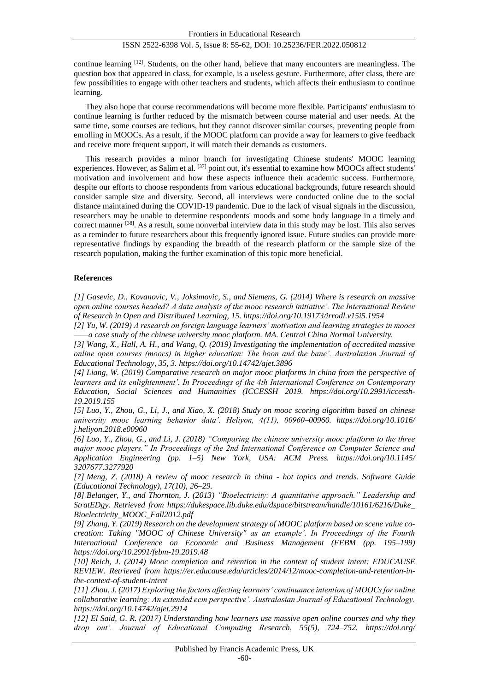continue learning [12]. Students, on the other hand, believe that many encounters are meaningless. The question box that appeared in class, for example, is a useless gesture. Furthermore, after class, there are few possibilities to engage with other teachers and students, which affects their enthusiasm to continue learning.

They also hope that course recommendations will become more flexible. Participants' enthusiasm to continue learning is further reduced by the mismatch between course material and user needs. At the same time, some courses are tedious, but they cannot discover similar courses, preventing people from enrolling in MOOCs. As a result, if the MOOC platform can provide a way for learners to give feedback and receive more frequent support, it will match their demands as customers.

This research provides a minor branch for investigating Chinese students' MOOC learning experiences. However, as Salim et al. [37] point out, it's essential to examine how MOOCs affect students' motivation and involvement and how these aspects influence their academic success. Furthermore, despite our efforts to choose respondents from various educational backgrounds, future research should consider sample size and diversity. Second, all interviews were conducted online due to the social distance maintained during the COVID-19 pandemic. Due to the lack of visual signals in the discussion, researchers may be unable to determine respondents' moods and some body language in a timely and correct manner [38]. As a result, some nonverbal interview data in this study may be lost. This also serves as a reminder to future researchers about this frequently ignored issue. Future studies can provide more representative findings by expanding the breadth of the research platform or the sample size of the research population, making the further examination of this topic more beneficial.

## **References**

*[1] Gasevic, D., Kovanovic, V., Joksimovic, S., and Siemens, G. (2014) Where is research on massive open online courses headed? A data analysis of the mooc research initiative'. The International Review of Research in Open and Distributed Learning, 15. https://doi.org/10.19173/irrodl.v15i5.1954*

*[2] Yu, W. (2019) A research on foreign language learners' motivation and learning strategies in moocs ——a case study of the chinese university mooc platform. MA. Central China Normal University.*

*[3] Wang, X., Hall, A. H., and Wang, Q. (2019) Investigating the implementation of accredited massive online open courses (moocs) in higher education: The boon and the bane'. Australasian Journal of Educational Technology, 35, 3. https://doi.org/10.14742/ajet.3896*

*[4] Liang, W. (2019) Comparative research on major mooc platforms in china from the perspective of learners and its enlightenment'. In Proceedings of the 4th International Conference on Contemporary Education, Social Sciences and Humanities (ICCESSH 2019. https://doi.org/10.2991/iccessh-19.2019.155*

*[5] Luo, Y., Zhou, G., Li, J., and Xiao, X. (2018) Study on mooc scoring algorithm based on chinese university mooc learning behavior data'. Heliyon, 4(11), 00960–00960. https://doi.org/10.1016/ j.heliyon.2018.e00960*

*[6] Luo, Y., Zhou, G., and Li, J. (2018) "Comparing the chinese university mooc platform to the three major mooc players." In Proceedings of the 2nd International Conference on Computer Science and Application Engineering (pp. 1–5) New York, USA: ACM Press. https://doi.org/10.1145/ 3207677.3277920*

*[7] Meng, Z. (2018) A review of mooc research in china - hot topics and trends. Software Guide (Educational Technology), 17(10), 26–29.*

*[8] Belanger, Y., and Thornton, J. (2013) "Bioelectricity: A quantitative approach." Leadership and StratEDgy. Retrieved from https://dukespace.lib.duke.edu/dspace/bitstream/handle/10161/6216/Duke\_ Bioelectricity\_MOOC\_Fall2012.pdf*

*[9] Zhang, Y. (2019) Research on the development strategy of MOOC platform based on scene value cocreation: Taking "MOOC of Chinese University" as an example'. In Proceedings of the Fourth International Conference on Economic and Business Management (FEBM (pp. 195–199) https://doi.org/10.2991/febm-19.2019.48*

*[10] Reich, J. (2014) Mooc completion and retention in the context of student intent: EDUCAUSE REVIEW. Retrieved from https://er.educause.edu/articles/2014/12/mooc-completion-and-retention-inthe-context-of-student-intent*

*[11] Zhou, J. (2017) Exploring the factors affecting learners' continuance intention of MOOCs for online collaborative learning: An extended ecm perspective'. Australasian Journal of Educational Technology. https://doi.org/10.14742/ajet.2914*

*[12] El Said, G. R. (2017) Understanding how learners use massive open online courses and why they drop out'. Journal of Educational Computing Research, 55(5), 724–752. https://doi.org/*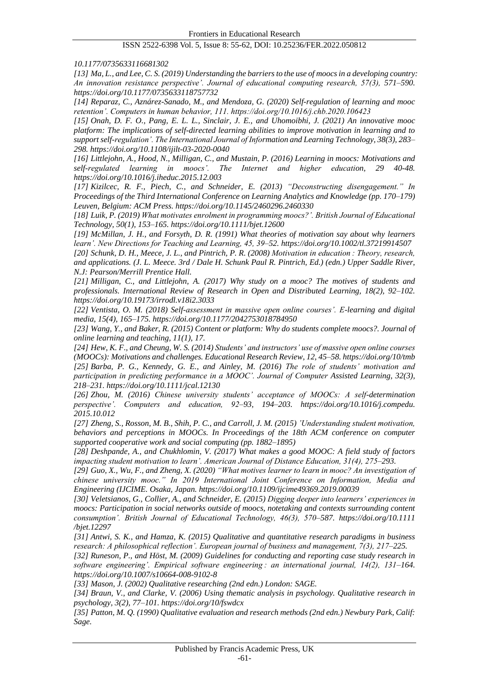*10.1177/0735633116681302*

*[13] Ma, L., and Lee, C. S. (2019) Understanding the barriers to the use of moocs in a developing country: An innovation resistance perspective'. Journal of educational computing research, 57(3), 571–590. https://doi.org/10.1177/0735633118757732*

*[14] Reparaz, C., Aznárez-Sanado, M., and Mendoza, G. (2020) Self-regulation of learning and mooc retention'. Computers in human behavior, 111. https://doi.org/10.1016/j.chb.2020.106423*

*[15] Onah, D. F. O., Pang, E. L. L., Sinclair, J. E., and Uhomoibhi, J. (2021) An innovative mooc platform: The implications of self-directed learning abilities to improve motivation in learning and to support self-regulation'. The International Journal of Information and Learning Technology, 38(3), 283– 298. https://doi.org/10.1108/ijilt-03-2020-0040*

*[16] Littlejohn, A., Hood, N., Milligan, C., and Mustain, P. (2016) Learning in moocs: Motivations and self-regulated learning in moocs'. The Internet and higher education, 29 40-48. https://doi.org/10.1016/j.iheduc.2015.12.003*

*[17] Kizilcec, R. F., Piech, C., and Schneider, E. (2013) "Deconstructing disengagement." In Proceedings of the Third International Conference on Learning Analytics and Knowledge (pp. 170–179) Leuven, Belgium: ACM Press. https://doi.org/10.1145/2460296.2460330*

*[18] Luik, P. (2019) What motivates enrolment in programming moocs?'. British Journal of Educational Technology, 50(1), 153–165. https://doi.org/10.1111/bjet.12600*

*[19] McMillan, J. H., and Forsyth, D. R. (1991) What theories of motivation say about why learners learn'. New Directions for Teaching and Learning, 45, 39–52. https://doi.org/10.1002/tl.37219914507 [20] Schunk, D. H., Meece, J. L., and Pintrich, P. R. (2008) Motivation in education : Theory, research,* 

*and applications. (J. L. Meece. 3rd / Dale H. Schunk Paul R. Pintrich, Ed.) (edn.) Upper Saddle River, N.J: Pearson/Merrill Prentice Hall.*

*[21] Milligan, C., and Littlejohn, A. (2017) Why study on a mooc? The motives of students and professionals. International Review of Research in Open and Distributed Learning, 18(2), 92–102. https://doi.org/10.19173/irrodl.v18i2.3033*

*[22] Ventista, O. M. (2018) Self-assessment in massive open online courses'. E-learning and digital media, 15(4), 165–175. https://doi.org/10.1177/2042753018784950*

*[23] Wang, Y., and Baker, R. (2015) Content or platform: Why do students complete moocs?. Journal of online learning and teaching, 11(1), 17.*

*[24] Hew, K. F., and Cheung, W. S. (2014) Students' and instructors' use of massive open online courses (MOOCs): Motivations and challenges. Educational Research Review, 12, 45–58. https://doi.org/10/tmb [25] Barba, P. G., Kennedy, G. E., and Ainley, M. (2016) The role of students' motivation and participation in predicting performance in a MOOC'. Journal of Computer Assisted Learning, 32(3), 218–231. https://doi.org/10.1111/jcal.12130*

*[26] Zhou, M. (2016) Chinese university students' acceptance of MOOCs: A self-determination perspective'. Computers and education, 92–93, 194–203. https://doi.org/10.1016/j.compedu. 2015.10.012*

*[27] Zheng, S., Rosson, M. B., Shih, P. C., and Carroll, J. M. (2015) 'Understanding student motivation, behaviors and perceptions in MOOCs. In Proceedings of the 18th ACM conference on computer supported cooperative work and social computing (pp. 1882–1895)*

*[28] Deshpande, A., and Chukhlomin, V. (2017) What makes a good MOOC: A field study of factors impacting student motivation to learn'. American Journal of Distance Education, 31(4), 275–293.*

*[29] Guo, X., Wu, F., and Zheng, X. (2020) "What motives learner to learn in mooc? An investigation of chinese university mooc." In 2019 International Joint Conference on Information, Media and Engineering (IJCIME. Osaka, Japan. https://doi.org/10.1109/ijcime49369.2019.00039*

*[30] Veletsianos, G., Collier, A., and Schneider, E. (2015) Digging deeper into learners' experiences in moocs: Participation in social networks outside of moocs, notetaking and contexts surrounding content consumption'. British Journal of Educational Technology, 46(3), 570–587. https://doi.org/10.1111 /bjet.12297*

*[31] Antwi, S. K., and Hamza, K. (2015) Qualitative and quantitative research paradigms in business research: A philosophical reflection'. European journal of business and management, 7(3), 217–225.*

*[32] Runeson, P., and Höst, M. (2009) Guidelines for conducting and reporting case study research in software engineering'. Empirical software engineering : an international journal, 14(2), 131–164. https://doi.org/10.1007/s10664-008-9102-8*

*[33] Mason, J. (2002) Qualitative researching (2nd edn.) London: SAGE.*

*[34] Braun, V., and Clarke, V. (2006) Using thematic analysis in psychology. Qualitative research in psychology, 3(2), 77–101. https://doi.org/10/fswdcx*

*[35] Patton, M. Q. (1990) Qualitative evaluation and research methods (2nd edn.) Newbury Park, Calif: Sage.*